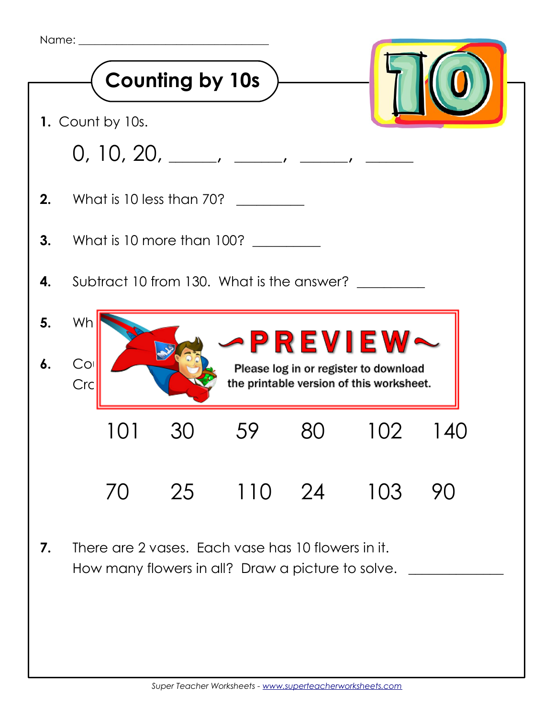